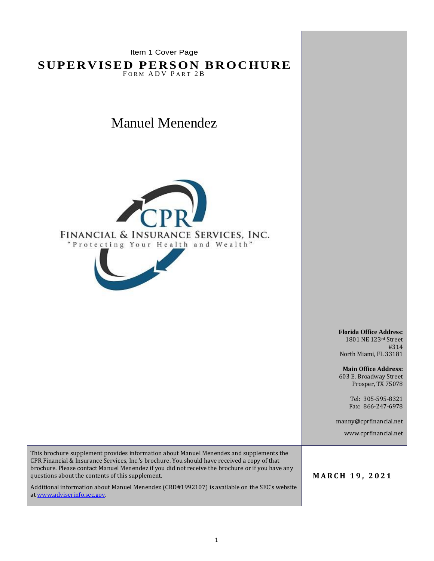Item 1 Cover Page

**SUPERVISED PERSON BROCHURE** FORM ADV PART 2B

Manuel Menendez





1801 NE 123rd Street #314 North Miami, FL 33181

**Main Office Address:** 603 E. Broadway Street Prosper, TX 75078

> Tel: 305-595-8321 Fax: 866-247-6978

manny@cprfinancial.net

www.cprfinancial.net

This brochure supplement provides information about Manuel Menendez and supplements the CPR Financial & Insurance Services, Inc.'s brochure. You should have received a copy of that brochure. Please contact Manuel Menendez if you did not receive the brochure or if you have any questions about the contents of this supplement.

Additional information about Manuel Menendez (CRD#1992107) is available on the SEC's website a[t www.adviserinfo.sec.gov.](http://www.adviserinfo.sec.gov/)

**M A R C H 1 9 , 2 0 2 1**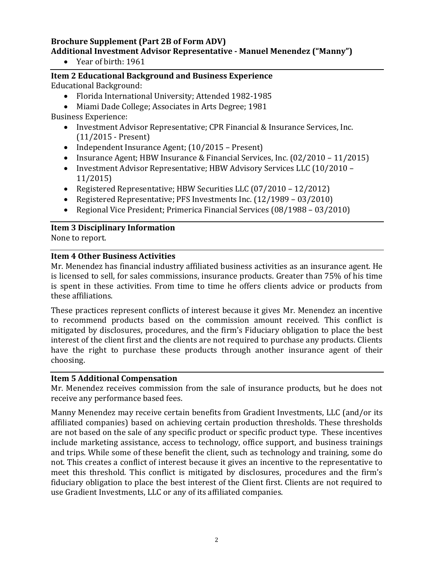# **Brochure Supplement (Part 2B of Form ADV) Additional Investment Advisor Representative - Manuel Menendez ("Manny")**

• Year of birth: 1961

**Item 2 Educational Background and Business Experience** Educational Background:

- Florida International University; Attended 1982-1985
- Miami Dade College; Associates in Arts Degree; 1981 Business Experience:
	- Investment Advisor Representative; CPR Financial & Insurance Services, Inc. (11/2015 - Present)
	- Independent Insurance Agent; (10/2015 Present)
	- Insurance Agent; HBW Insurance & Financial Services, Inc. (02/2010 11/2015)
	- Investment Advisor Representative; HBW Advisory Services LLC (10/2010 11/2015)
	- Registered Representative; HBW Securities LLC (07/2010 12/2012)
	- Registered Representative; PFS Investments Inc. (12/1989 03/2010)
	- Regional Vice President; Primerica Financial Services (08/1988 03/2010)

## **Item 3 Disciplinary Information**

None to report.

### **Item 4 Other Business Activities**

Mr. Menendez has financial industry affiliated business activities as an insurance agent. He is licensed to sell, for sales commissions, insurance products. Greater than 75% of his time is spent in these activities. From time to time he offers clients advice or products from these affiliations.

These practices represent conflicts of interest because it gives Mr. Menendez an incentive to recommend products based on the commission amount received. This conflict is mitigated by disclosures, procedures, and the firm's Fiduciary obligation to place the best interest of the client first and the clients are not required to purchase any products. Clients have the right to purchase these products through another insurance agent of their choosing.

### **Item 5 Additional Compensation**

Mr. Menendez receives commission from the sale of insurance products, but he does not receive any performance based fees.

Manny Menendez may receive certain benefits from Gradient Investments, LLC (and/or its affiliated companies) based on achieving certain production thresholds. These thresholds are not based on the sale of any specific product or specific product type. These incentives include marketing assistance, access to technology, office support, and business trainings and trips. While some of these benefit the client, such as technology and training, some do not. This creates a conflict of interest because it gives an incentive to the representative to meet this threshold. This conflict is mitigated by disclosures, procedures and the firm's fiduciary obligation to place the best interest of the Client first. Clients are not required to use Gradient Investments, LLC or any of its affiliated companies.